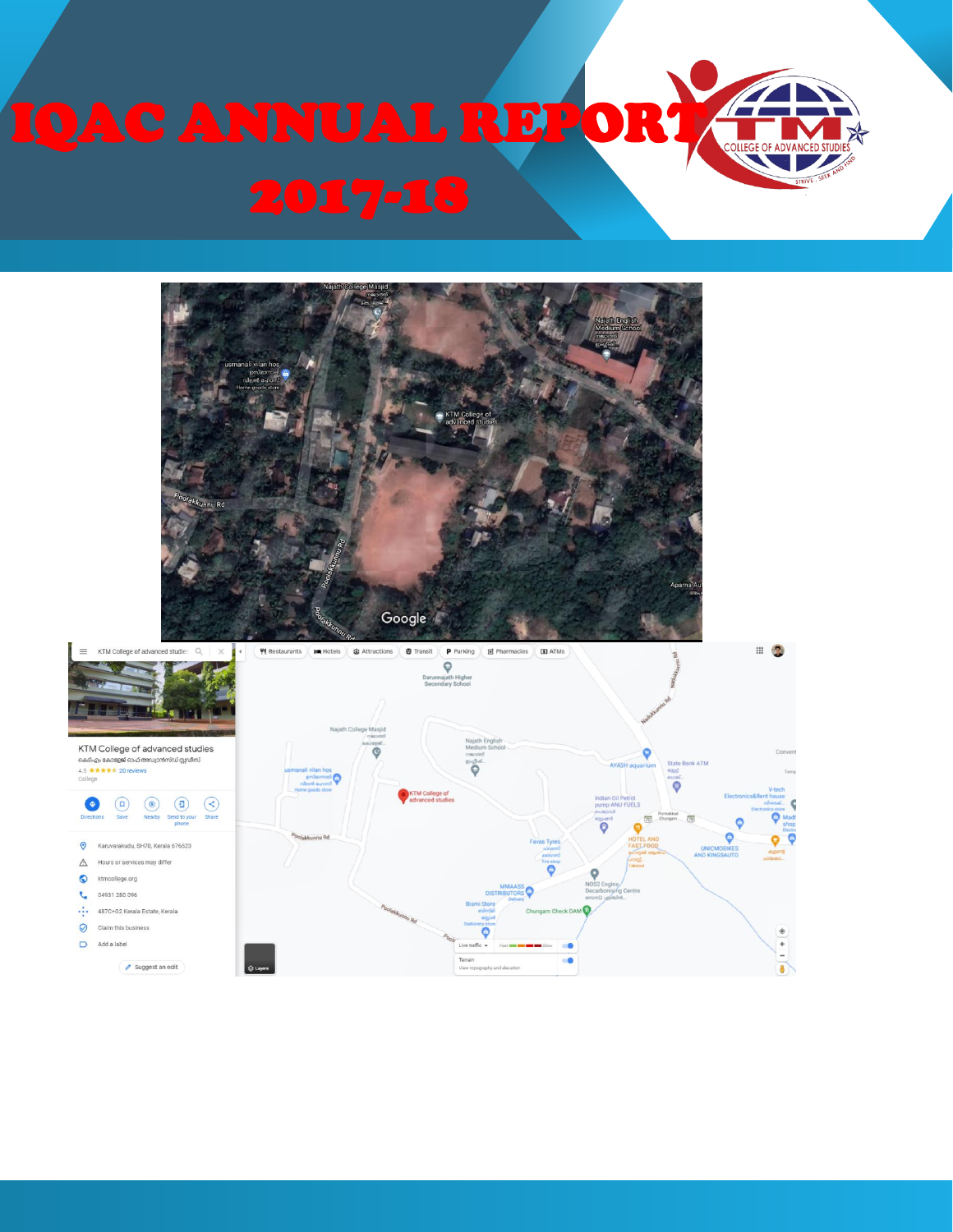

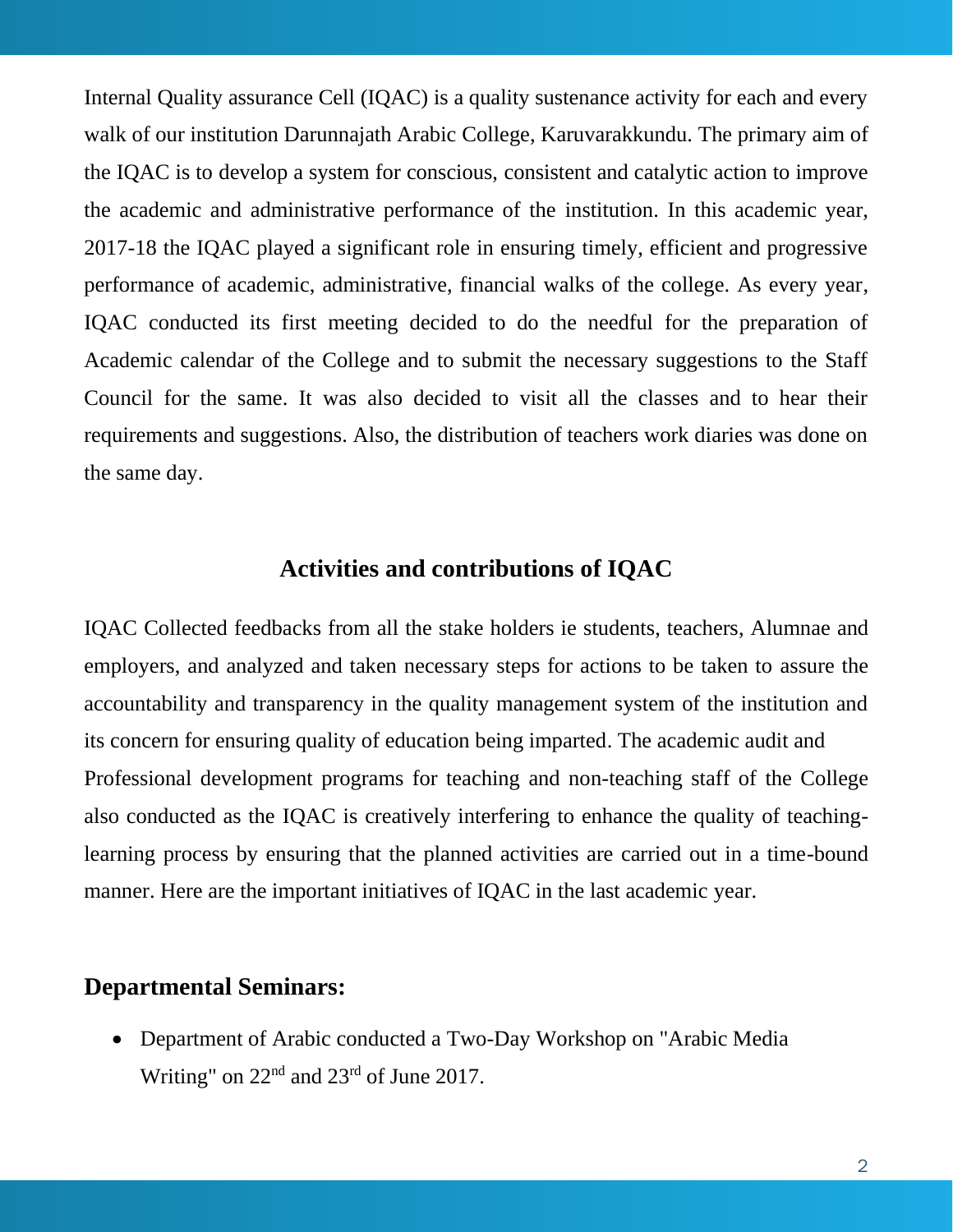Internal Quality assurance Cell (IQAC) is a quality sustenance activity for each and every walk of our institution Darunnajath Arabic College, Karuvarakkundu. The primary aim of the IQAC is to develop a system for conscious, consistent and catalytic action to improve the academic and administrative performance of the institution. In this academic year, 2017-18 the IQAC played a significant role in ensuring timely, efficient and progressive performance of academic, administrative, financial walks of the college. As every year, IQAC conducted its first meeting decided to do the needful for the preparation of Academic calendar of the College and to submit the necessary suggestions to the Staff Council for the same. It was also decided to visit all the classes and to hear their requirements and suggestions. Also, the distribution of teachers work diaries was done on the same day.

# **Activities and contributions of IQAC**

IQAC Collected feedbacks from all the stake holders ie students, teachers, Alumnae and employers, and analyzed and taken necessary steps for actions to be taken to assure the accountability and transparency in the quality management system of the institution and its concern for ensuring quality of education being imparted. The academic audit and Professional development programs for teaching and non-teaching staff of the College also conducted as the IQAC is creatively interfering to enhance the quality of teachinglearning process by ensuring that the planned activities are carried out in a time-bound manner. Here are the important initiatives of IQAC in the last academic year.

### **Departmental Seminars:**

• Department of Arabic conducted a Two-Day Workshop on "Arabic Media Writing" on 22<sup>nd</sup> and 23<sup>rd</sup> of June 2017.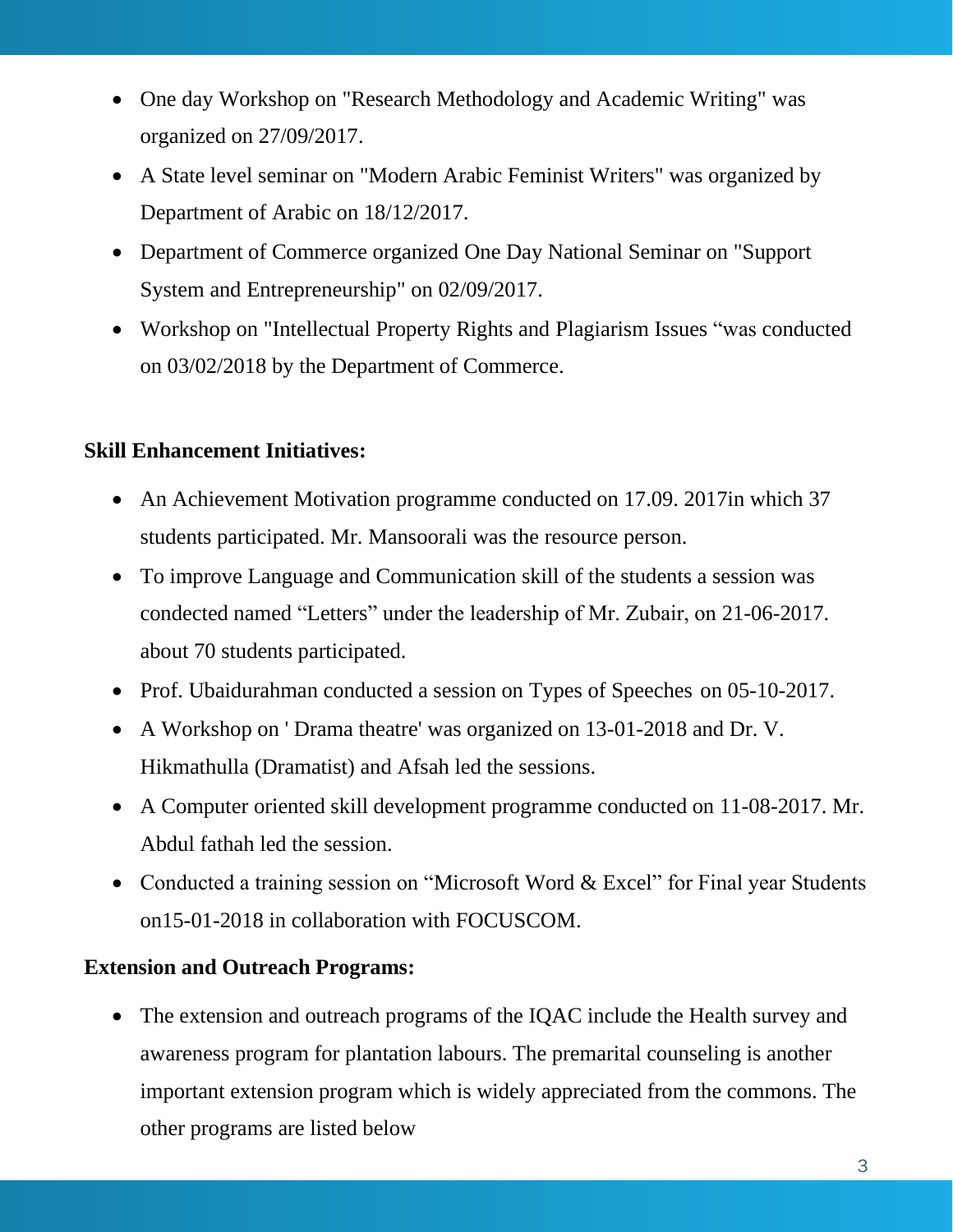- One day Workshop on "Research Methodology and Academic Writing" was organized on 27/09/2017.
- A State level seminar on "Modern Arabic Feminist Writers" was organized by Department of Arabic on 18/12/2017.
- Department of Commerce organized One Day National Seminar on "Support System and Entrepreneurship" on 02/09/2017.
- Workshop on "Intellectual Property Rights and Plagiarism Issues "was conducted on 03/02/2018 by the Department of Commerce.

# **Skill Enhancement Initiatives:**

- An Achievement Motivation programme conducted on 17.09. 2017 in which 37 students participated. Mr. Mansoorali was the resource person.
- To improve Language and Communication skill of the students a session was condected named "Letters" under the leadership of Mr. Zubair, on 21-06-2017. about 70 students participated.
- Prof. Ubaidurahman conducted a session on Types of Speeches on 05-10-2017.
- A Workshop on ' Drama theatre' was organized on 13-01-2018 and Dr. V. Hikmathulla (Dramatist) and Afsah led the sessions.
- A Computer oriented skill development programme conducted on 11-08-2017. Mr. Abdul fathah led the session.
- Conducted a training session on "Microsoft Word & Excel" for Final year Students on15-01-2018 in collaboration with FOCUSCOM.

#### **Extension and Outreach Programs:**

• The extension and outreach programs of the IQAC include the Health survey and awareness program for plantation labours. The premarital counseling is another important extension program which is widely appreciated from the commons. The other programs are listed below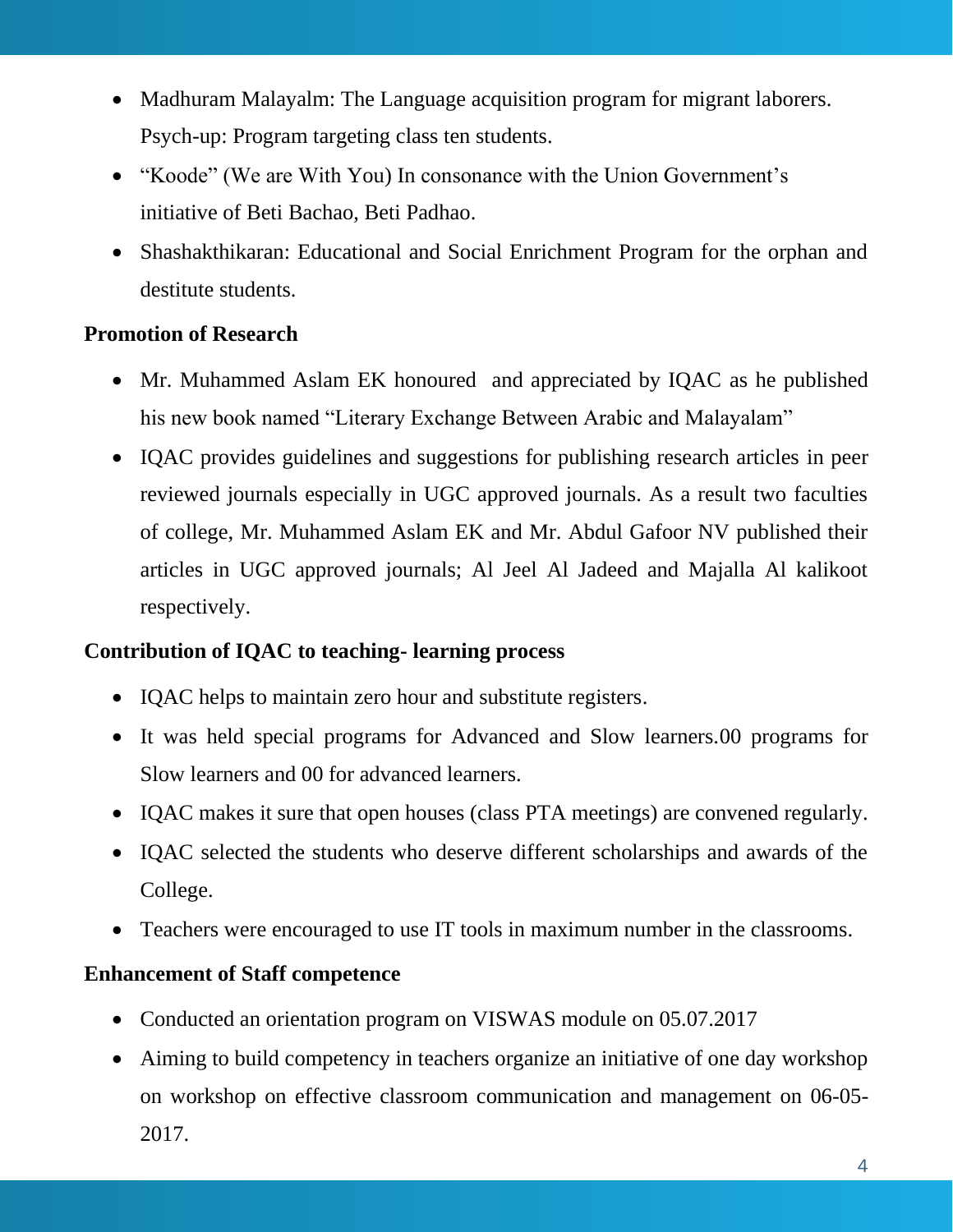- Madhuram Malayalm: The Language acquisition program for migrant laborers. Psych-up: Program targeting class ten students.
- "Koode" (We are With You) In consonance with the Union Government's initiative of Beti Bachao, Beti Padhao.
- Shashakthikaran: Educational and Social Enrichment Program for the orphan and destitute students.

### **Promotion of Research**

- Mr. Muhammed Aslam EK honoured and appreciated by IQAC as he published his new book named "Literary Exchange Between Arabic and Malayalam"
- IQAC provides guidelines and suggestions for publishing research articles in peer reviewed journals especially in UGC approved journals. As a result two faculties of college, Mr. Muhammed Aslam EK and Mr. Abdul Gafoor NV published their articles in UGC approved journals; Al Jeel Al Jadeed and Majalla Al kalikoot respectively.

#### **Contribution of IQAC to teaching- learning process**

- IQAC helps to maintain zero hour and substitute registers.
- It was held special programs for Advanced and Slow learners.00 programs for Slow learners and 00 for advanced learners.
- IQAC makes it sure that open houses (class PTA meetings) are convened regularly.
- IQAC selected the students who deserve different scholarships and awards of the College.
- Teachers were encouraged to use IT tools in maximum number in the classrooms.

# **Enhancement of Staff competence**

- Conducted an orientation program on VISWAS module on 05.07.2017
- Aiming to build competency in teachers organize an initiative of one day workshop on workshop on effective classroom communication and management on 06-05- 2017.